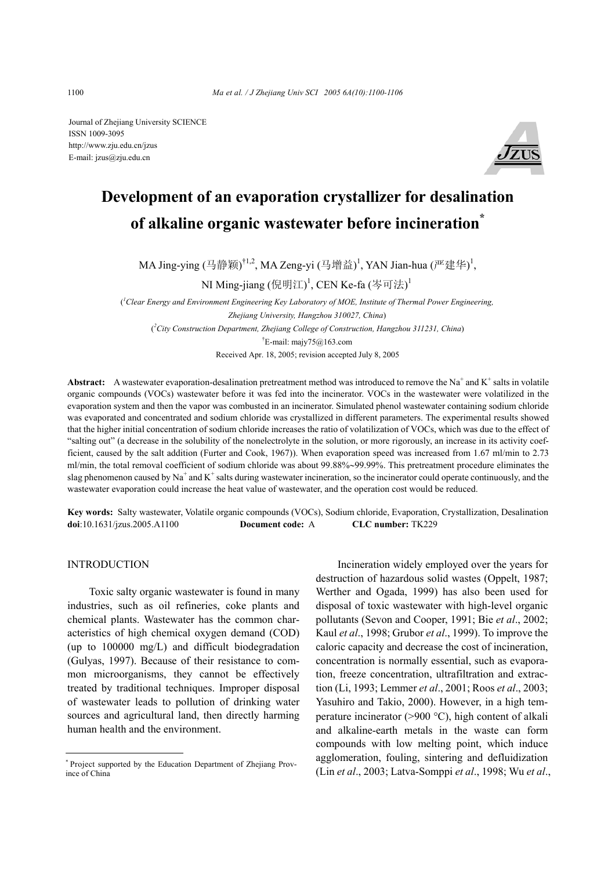Journal of Zhejiang University SCIENCE ISSN 1009-3095 http://www.zju.edu.cn/jzus E-mail: jzus@zju.edu.cn



# **Development of an evaporation crystallizer for desalination of alkaline organic wastewater before incineration\***

MA Jing-ying (马静颖)<sup>†1,2</sup>, MA Zeng-yi (马增益)<sup>1</sup>, YAN Jian-hua (严建华)<sup>1</sup>,

NI Ming-jiang (倪明江)<sup>1</sup>, CEN Ke-fa (岑可法)<sup>1</sup>

( *1 Clear Energy and Environment Engineering Key Laboratory of MOE, Institute of Thermal Power Engineering, Zhejiang University, Hangzhou 310027, China*) ( *2 City Construction Department, Zhejiang College of Construction, Hangzhou 311231, China*) <sup>†</sup>E-mail: majy75@163.com Received Apr. 18, 2005; revision accepted July 8, 2005

Abstract: A wastewater evaporation-desalination pretreatment method was introduced to remove the  $Na^+$  and  $K^+$  salts in volatile organic compounds (VOCs) wastewater before it was fed into the incinerator. VOCs in the wastewater were volatilized in the evaporation system and then the vapor was combusted in an incinerator. Simulated phenol wastewater containing sodium chloride was evaporated and concentrated and sodium chloride was crystallized in different parameters. The experimental results showed that the higher initial concentration of sodium chloride increases the ratio of volatilization of VOCs, which was due to the effect of "salting out" (a decrease in the solubility of the nonelectrolyte in the solution, or more rigorously, an increase in its activity coefficient, caused by the salt addition (Furter and Cook, 1967)). When evaporation speed was increased from 1.67 ml/min to 2.73 ml/min, the total removal coefficient of sodium chloride was about 99.88%∼99.99%. This pretreatment procedure eliminates the slag phenomenon caused by Na<sup>+</sup> and K<sup>+</sup> salts during wastewater incineration, so the incinerator could operate continuously, and the wastewater evaporation could increase the heat value of wastewater, and the operation cost would be reduced.

**Key words:** Salty wastewater, Volatile organic compounds (VOCs), Sodium chloride, Evaporation, Crystallization, Desalination **doi**:10.1631/jzus.2005.A1100 **Document code:** A **CLC number:** TK229

**INTRODUCTION** 

Toxic salty organic wastewater is found in many industries, such as oil refineries, coke plants and chemical plants. Wastewater has the common characteristics of high chemical oxygen demand (COD) (up to 100000 mg/L) and difficult biodegradation (Gulyas, 1997). Because of their resistance to common microorganisms, they cannot be effectively treated by traditional techniques. Improper disposal of wastewater leads to pollution of drinking water sources and agricultural land, then directly harming human health and the environment.

Incineration widely employed over the years for destruction of hazardous solid wastes (Oppelt, 1987; Werther and Ogada, 1999) has also been used for disposal of toxic wastewater with high-level organic pollutants (Sevon and Cooper, 1991; Bie *et al*., 2002; Kaul *et al*., 1998; Grubor *et al*., 1999). To improve the caloric capacity and decrease the cost of incineration, concentration is normally essential, such as evaporation, freeze concentration, ultrafiltration and extraction (Li, 1993; Lemmer *et al*., 2001; Roos *et al*., 2003; Yasuhiro and Takio, 2000). However, in a high temperature incinerator (>900 °C), high content of alkali and alkaline-earth metals in the waste can form compounds with low melting point, which induce agglomeration, fouling, sintering and defluidization (Lin *et al*., 2003; Latva-Somppi *et al*., 1998; Wu *et al*.,

<sup>\*</sup> Project supported by the Education Department of Zhejiang Province of China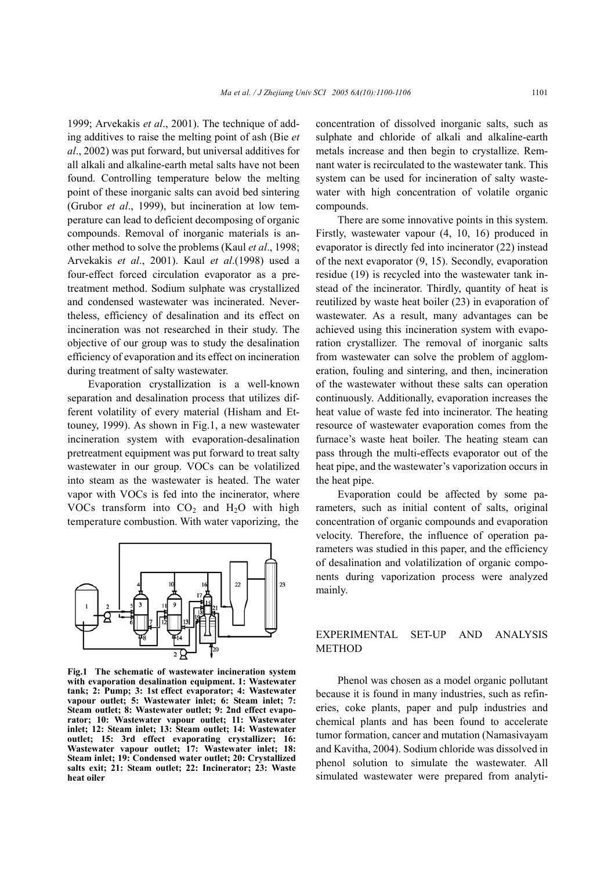1999; Arvekakis *et al*., 2001). The technique of adding additives to raise the melting point of ash (Bie *et al*., 2002) was put forward, but universal additives for all alkali and alkaline-earth metal salts have not been found. Controlling temperature below the melting point of these inorganic salts can avoid bed sintering (Grubor *et al*., 1999), but incineration at low temperature can lead to deficient decomposing of organic compounds. Removal of inorganic materials is another method to solve the problems (Kaul *et al*., 1998; Arvekakis *et al*., 2001). Kaul *et al*.(1998) used a four-effect forced circulation evaporator as a pretreatment method. Sodium sulphate was crystallized and condensed wastewater was incinerated. Nevertheless, efficiency of desalination and its effect on incineration was not researched in their study. The objective of our group was to study the desalination efficiency of evaporation and its effect on incineration during treatment of salty wastewater.

Evaporation crystallization is a well-known separation and desalination process that utilizes different volatility of every material (Hisham and Ettouney, 1999). As shown in Fig.1, a new wastewater incineration system with evaporation-desalination pretreatment equipment was put forward to treat salty wastewater in our group. VOCs can be volatilized into steam as the wastewater is heated. The water vapor with VOCs is fed into the incinerator, where VOCs transform into  $CO<sub>2</sub>$  and  $H<sub>2</sub>O$  with high temperature combustion. With water vaporizing, the



**Fig.1 The schematic of wastewater incineration system with evaporation desalination equipment. 1: Wastewater tank; 2: Pump; 3: 1st effect evaporator; 4: Wastewater vapour outlet; 5: Wastewater inlet; 6: Steam inlet; 7: Steam outlet; 8: Wastewater outlet; 9: 2nd effect evaporator; 10: Wastewater vapour outlet; 11: Wastewater inlet; 12: Steam inlet; 13: Steam outlet; 14: Wastewater outlet; 15: 3rd effect evaporating crystallizer; 16: Wastewater vapour outlet; 17: Wastewater inlet; 18: Steam inlet; 19: Condensed water outlet; 20: Crystallized salts exit; 21: Steam outlet; 22: Incinerator; 23: Waste heat oiler**

concentration of dissolved inorganic salts, such as sulphate and chloride of alkali and alkaline-earth metals increase and then begin to crystallize. Remnant water is recirculated to the wastewater tank. This system can be used for incineration of salty wastewater with high concentration of volatile organic compounds.

There are some innovative points in this system. Firstly, wastewater vapour (4, 10, 16) produced in evaporator is directly fed into incinerator (22) instead of the next evaporator (9, 15). Secondly, evaporation residue (19) is recycled into the wastewater tank instead of the incinerator. Thirdly, quantity of heat is reutilized by waste heat boiler (23) in evaporation of wastewater. As a result, many advantages can be achieved using this incineration system with evaporation crystallizer. The removal of inorganic salts from wastewater can solve the problem of agglomeration, fouling and sintering, and then, incineration of the wastewater without these salts can operation continuously. Additionally, evaporation increases the heat value of waste fed into incinerator. The heating resource of wastewater evaporation comes from the furnace's waste heat boiler. The heating steam can pass through the multi-effects evaporator out of the heat pipe, and the wastewater's vaporization occurs in the heat pipe.

Evaporation could be affected by some parameters, such as initial content of salts, original concentration of organic compounds and evaporation velocity. Therefore, the influence of operation parameters was studied in this paper, and the efficiency of desalination and volatilization of organic components during vaporization process were analyzed mainly.

### EXPERIMENTAL SET-UP AND ANALYSIS METHOD

Phenol was chosen as a model organic pollutant because it is found in many industries, such as refineries, coke plants, paper and pulp industries and chemical plants and has been found to accelerate tumor formation, cancer and mutation (Namasivayam and Kavitha, 2004). Sodium chloride was dissolved in phenol solution to simulate the wastewater. All simulated wastewater were prepared from analyti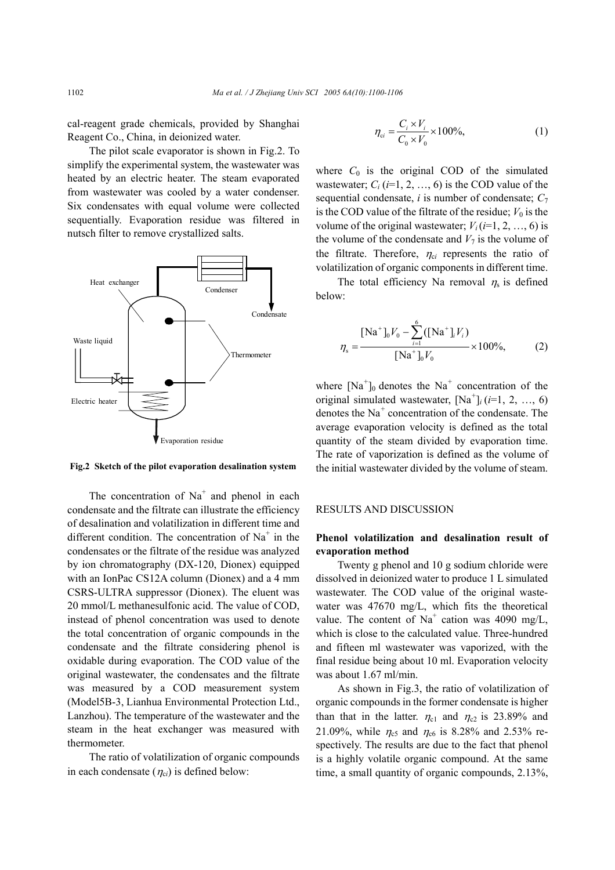cal-reagent grade chemicals, provided by Shanghai Reagent Co., China, in deionized water.

The pilot scale evaporator is shown in Fig.2. To simplify the experimental system, the wastewater was heated by an electric heater. The steam evaporated from wastewater was cooled by a water condenser. Six condensates with equal volume were collected sequentially. Evaporation residue was filtered in nutsch filter to remove crystallized salts.



**Fig.2 Sketch of the pilot evaporation desalination system**

The concentration of  $Na<sup>+</sup>$  and phenol in each condensate and the filtrate can illustrate the efficiency of desalination and volatilization in different time and different condition. The concentration of  $Na<sup>+</sup>$  in the condensates or the filtrate of the residue was analyzed by ion chromatography (DX-120, Dionex) equipped with an IonPac CS12A column (Dionex) and a 4 mm CSRS-ULTRA suppressor (Dionex). The eluent was 20 mmol/L methanesulfonic acid. The value of COD, instead of phenol concentration was used to denote the total concentration of organic compounds in the condensate and the filtrate considering phenol is oxidable during evaporation. The COD value of the original wastewater, the condensates and the filtrate was measured by a COD measurement system (Model5B-3, Lianhua Environmental Protection Ltd., Lanzhou). The temperature of the wastewater and the steam in the heat exchanger was measured with thermometer.

The ratio of volatilization of organic compounds in each condensate  $(\eta_{ci})$  is defined below:

$$
\eta_{ci} = \frac{C_i \times V_i}{C_0 \times V_0} \times 100\%,\tag{1}
$$

where  $C_0$  is the original COD of the simulated wastewater;  $C_i$  ( $i=1, 2, ..., 6$ ) is the COD value of the sequential condensate,  $i$  is number of condensate;  $C_7$ is the COD value of the filtrate of the residue;  $V_0$  is the volume of the original wastewater;  $V_i$  ( $i=1, 2, ..., 6$ ) is the volume of the condensate and  $V_7$  is the volume of the filtrate. Therefore,  $\eta_{ci}$  represents the ratio of volatilization of organic components in different time.

The total efficiency Na removal  $\eta_s$  is defined below:

$$
\eta_{s} = \frac{[\text{Na}^{+}]_{0}V_{0} - \sum_{i=1}^{6} ([\text{Na}^{+}]_{i}V_{i})}{[\text{Na}^{+}]_{0}V_{0}} \times 100\%, \qquad (2)
$$

where  $[Na^+]_0$  denotes the Na<sup>+</sup> concentration of the original simulated wastewater,  $[Na^+]_i$  (*i*=1, 2, …, 6) denotes the Na<sup>+</sup> concentration of the condensate. The average evaporation velocity is defined as the total quantity of the steam divided by evaporation time. The rate of vaporization is defined as the volume of the initial wastewater divided by the volume of steam.

#### RESULTS AND DISCUSSION

## **Phenol volatilization and desalination result of evaporation method**

Twenty g phenol and 10 g sodium chloride were dissolved in deionized water to produce 1 L simulated wastewater. The COD value of the original wastewater was 47670 mg/L, which fits the theoretical value. The content of Na<sup>+</sup> cation was 4090 mg/L, which is close to the calculated value. Three-hundred and fifteen ml wastewater was vaporized, with the final residue being about 10 ml. Evaporation velocity was about 1.67 ml/min.

As shown in Fig.3, the ratio of volatilization of organic compounds in the former condensate is higher than that in the latter.  $\eta_{c1}$  and  $\eta_{c2}$  is 23.89% and 21.09%, while  $\eta_{c5}$  and  $\eta_{c6}$  is 8.28% and 2.53% respectively. The results are due to the fact that phenol is a highly volatile organic compound. At the same time, a small quantity of organic compounds, 2.13%,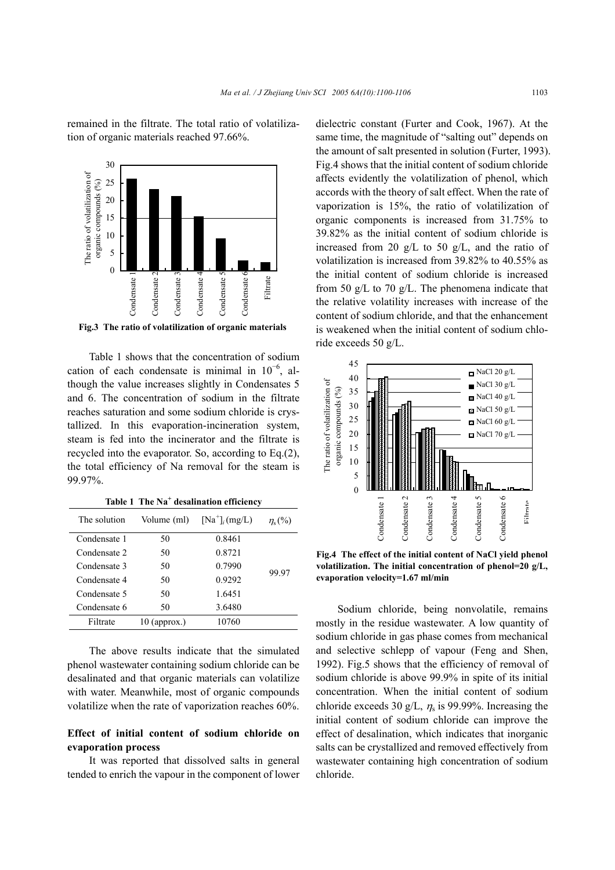remained in the filtrate. The total ratio of volatilization of organic materials reached 97.66%.



Table 1 shows that the concentration of sodium cation of each condensate is minimal in  $10^{-6}$ , although the value increases slightly in Condensates 5 and 6. The concentration of sodium in the filtrate reaches saturation and some sodium chloride is crystallized. In this evaporation-incineration system, steam is fed into the incinerator and the filtrate is recycled into the evaporator. So, according to Eq.(2), the total efficiency of Na removal for the steam is 99.97%.

| The solution | Volume (ml)    | $[Na^+]$ <sub>i</sub> $(mg/L)$ | $\eta_{s}$ (%) |
|--------------|----------------|--------------------------------|----------------|
| Condensate 1 | 50             | 0.8461                         |                |
| Condensate 2 | 50             | 0.8721                         |                |
| Condensate 3 | 50             | 0.7990                         | 99.97          |
| Condensate 4 | 50             | 0.9292                         |                |
| Condensate 5 | 50             | 1.6451                         |                |
| Condensate 6 | 50             | 3.6480                         |                |
| Filtrate     | $10$ (approx.) | 10760                          |                |

**Table 1 The Na<sup>+</sup> desalination efficiency**

The above results indicate that the simulated phenol wastewater containing sodium chloride can be desalinated and that organic materials can volatilize with water. Meanwhile, most of organic compounds volatilize when the rate of vaporization reaches 60%.

## **Effect of initial content of sodium chloride on evaporation process**

It was reported that dissolved salts in general tended to enrich the vapour in the component of lower dielectric constant (Furter and Cook, 1967). At the same time, the magnitude of "salting out" depends on the amount of salt presented in solution (Furter, 1993). Fig.4 shows that the initial content of sodium chloride affects evidently the volatilization of phenol, which accords with the theory of salt effect. When the rate of vaporization is 15%, the ratio of volatilization of organic components is increased from 31.75% to 39.82% as the initial content of sodium chloride is increased from 20 g/L to 50 g/L, and the ratio of volatilization is increased from 39.82% to 40.55% as the initial content of sodium chloride is increased from 50 g/L to 70 g/L. The phenomena indicate that the relative volatility increases with increase of the content of sodium chloride, and that the enhancement is weakened when the initial content of sodium chloride exceeds 50 g/L.



**Fig.4 The effect of the initial content of NaCl yield phenol volatilization. The initial concentration of phenol=20 g/L, evaporation velocity=1.67 ml/min** 

Sodium chloride, being nonvolatile, remains mostly in the residue wastewater. A low quantity of sodium chloride in gas phase comes from mechanical and selective schlepp of vapour (Feng and Shen, 1992). Fig.5 shows that the efficiency of removal of sodium chloride is above 99.9% in spite of its initial concentration. When the initial content of sodium chloride exceeds 30 g/L,  $\eta_s$  is 99.99%. Increasing the initial content of sodium chloride can improve the effect of desalination, which indicates that inorganic salts can be crystallized and removed effectively from wastewater containing high concentration of sodium chloride.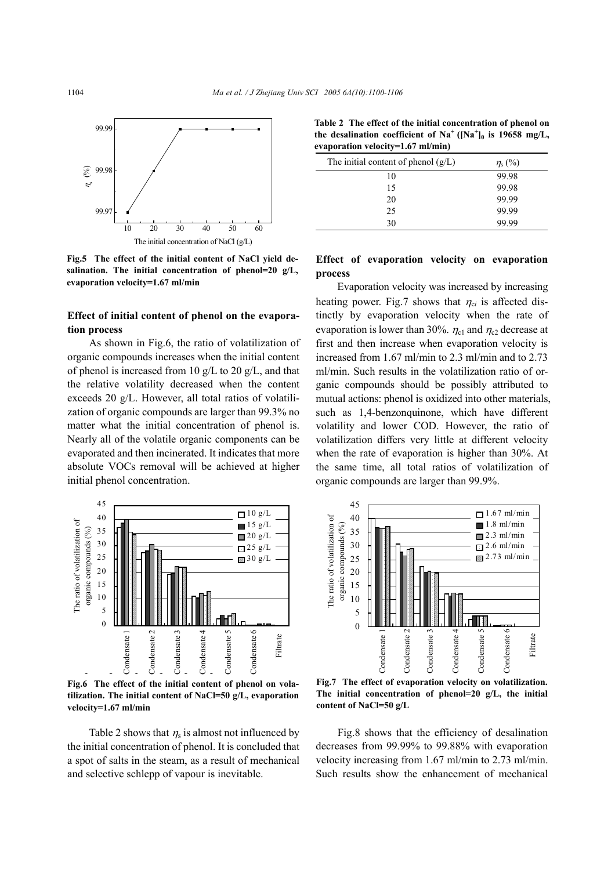

**Fig.5 The effect of the initial content of NaCl yield desalination. The initial concentration of phenol=20 g/L, evaporation velocity=1.67 ml/min**

## **Effect of initial content of phenol on the evaporation process**

As shown in Fig.6, the ratio of volatilization of organic compounds increases when the initial content of phenol is increased from 10  $g/L$  to 20  $g/L$ , and that the relative volatility decreased when the content exceeds 20 g/L. However, all total ratios of volatilization of organic compounds are larger than 99.3% no matter what the initial concentration of phenol is. Nearly all of the volatile organic components can be evaporated and then incinerated. It indicates that more absolute VOCs removal will be achieved at higher initial phenol concentration.



**Fig.6 The effect of the initial content of phenol on volatilization. The initial content of NaCl=50 g/L, evaporation velocity=1.67 ml/min** 

Table 2 shows that  $\eta_s$  is almost not influenced by the initial concentration of phenol. It is concluded that a spot of salts in the steam, as a result of mechanical and selective schlepp of vapour is inevitable.

**Table 2 The effect of the initial concentration of phenol on**  the desalination coefficient of  $Na^+$  ( $[Na^+]_0$  is 19658 mg/L, **evaporation velocity=1.67 ml/min)** 

| The initial content of phenol $(g/L)$ | $\eta_{\rm s}$ (%) |
|---------------------------------------|--------------------|
| 10                                    | 99.98              |
| 15                                    | 99.98              |
| 20                                    | 99.99              |
| 25                                    | 99.99              |
| 30                                    | 99.99              |

#### **Effect of evaporation velocity on evaporation process**

Evaporation velocity was increased by increasing heating power. Fig.7 shows that  $\eta_{ci}$  is affected distinctly by evaporation velocity when the rate of evaporation is lower than 30%.  $\eta_{c1}$  and  $\eta_{c2}$  decrease at first and then increase when evaporation velocity is increased from 1.67 ml/min to 2.3 ml/min and to 2.73 ml/min. Such results in the volatilization ratio of organic compounds should be possibly attributed to mutual actions: phenol is oxidized into other materials, such as 1,4-benzonquinone, which have different volatility and lower COD. However, the ratio of volatilization differs very little at different velocity when the rate of evaporation is higher than 30%. At the same time, all total ratios of volatilization of organic compounds are larger than 99.9%.



**Fig.7 The effect of evaporation velocity on volatilization. The initial concentration of phenol=20 g/L, the initial content of NaCl=50 g/L**

Fig.8 shows that the efficiency of desalination decreases from 99.99% to 99.88% with evaporation velocity increasing from 1.67 ml/min to 2.73 ml/min. Such results show the enhancement of mechanical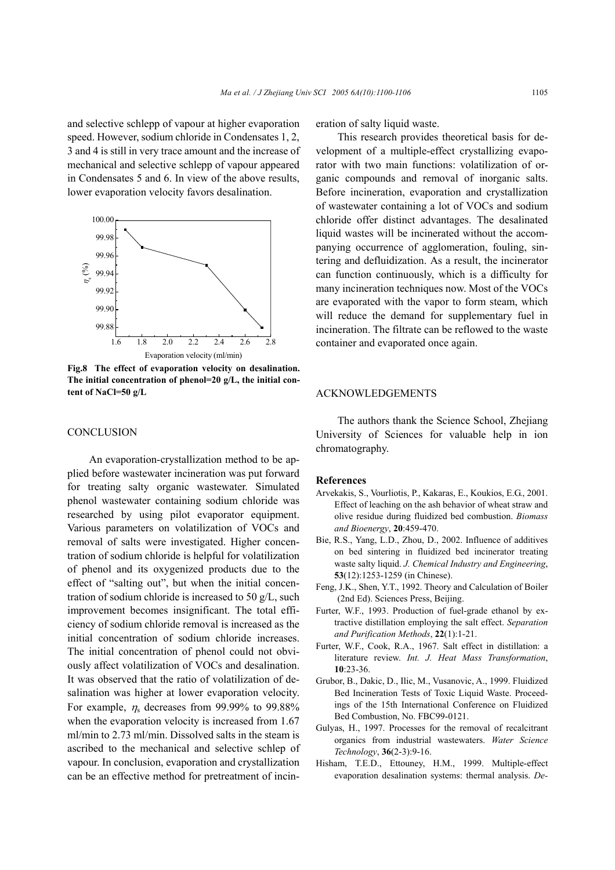and selective schlepp of vapour at higher evaporation speed. However, sodium chloride in Condensates 1, 2, 3 and 4 is still in very trace amount and the increase of mechanical and selective schlepp of vapour appeared in Condensates 5 and 6. In view of the above results, lower evaporation velocity favors desalination.



**Fig.8 The effect of evaporation velocity on desalination. The initial concentration of phenol=20 g/L, the initial content of NaCl=50 g/L** 

#### **CONCLUSION**

An evaporation-crystallization method to be applied before wastewater incineration was put forward for treating salty organic wastewater. Simulated phenol wastewater containing sodium chloride was researched by using pilot evaporator equipment. Various parameters on volatilization of VOCs and removal of salts were investigated. Higher concentration of sodium chloride is helpful for volatilization of phenol and its oxygenized products due to the effect of "salting out", but when the initial concentration of sodium chloride is increased to 50 g/L, such improvement becomes insignificant. The total efficiency of sodium chloride removal is increased as the initial concentration of sodium chloride increases. The initial concentration of phenol could not obviously affect volatilization of VOCs and desalination. It was observed that the ratio of volatilization of desalination was higher at lower evaporation velocity. For example,  $\eta_s$  decreases from 99.99% to 99.88% when the evaporation velocity is increased from 1.67 ml/min to 2.73 ml/min. Dissolved salts in the steam is ascribed to the mechanical and selective schlep of vapour. In conclusion, evaporation and crystallization can be an effective method for pretreatment of incineration of salty liquid waste.

This research provides theoretical basis for development of a multiple-effect crystallizing evaporator with two main functions: volatilization of organic compounds and removal of inorganic salts. Before incineration, evaporation and crystallization of wastewater containing a lot of VOCs and sodium chloride offer distinct advantages. The desalinated liquid wastes will be incinerated without the accompanying occurrence of agglomeration, fouling, sintering and defluidization. As a result, the incinerator can function continuously, which is a difficulty for many incineration techniques now. Most of the VOCs are evaporated with the vapor to form steam, which will reduce the demand for supplementary fuel in incineration. The filtrate can be reflowed to the waste container and evaporated once again.

#### ACKNOWLEDGEMENTS

The authors thank the Science School, Zhejiang University of Sciences for valuable help in ion chromatography.

#### **References**

- Arvekakis, S., Vourliotis, P., Kakaras, E., Koukios, E.G., 2001. Effect of leaching on the ash behavior of wheat straw and olive residue during fluidized bed combustion. *Biomass and Bioenergy*, **20**:459-470.
- Bie, R.S., Yang, L.D., Zhou, D., 2002. Influence of additives on bed sintering in fluidized bed incinerator treating waste salty liquid. *J. Chemical Industry and Engineering*, **53**(12):1253-1259 (in Chinese).
- Feng, J.K., Shen, Y.T., 1992. Theory and Calculation of Boiler (2nd Ed). Sciences Press, Beijing.
- Furter, W.F., 1993. Production of fuel-grade ethanol by extractive distillation employing the salt effect. *Separation and Purification Methods*, **22**(1):1-21.
- Furter, W.F., Cook, R.A., 1967. Salt effect in distillation: a literature review. *Int. J. Heat Mass Transformation*, **10**:23-36.
- Grubor, B., Dakic, D., Ilic, M., Vusanovic, A., 1999. Fluidized Bed Incineration Tests of Toxic Liquid Waste. Proceedings of the 15th International Conference on Fluidized Bed Combustion, No. FBC99-0121.
- Gulyas, H., 1997. Processes for the removal of recalcitrant organics from industrial wastewaters. *Water Science Technology*, **36**(2-3):9-16.
- Hisham, T.E.D., Ettouney, H.M., 1999. Multiple-effect evaporation desalination systems: thermal analysis. *De-*